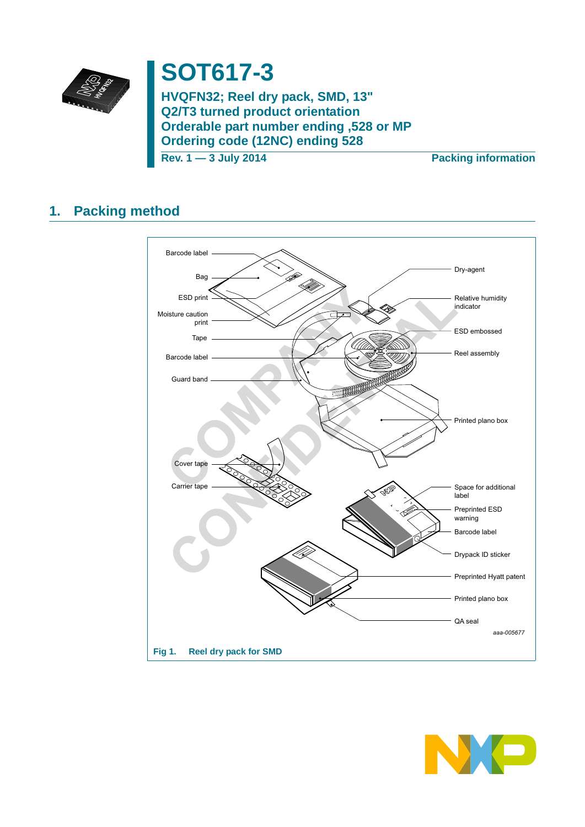

# **SOT617-3**

**HVQFN32; Reel dry pack, SMD, 13" Q2/T3 turned product orientation Orderable part number ending ,528 or MP Ordering code (12NC) ending 528**

**Rev. 1 — 3 July 2014 Packing information**

## **1. Packing method**



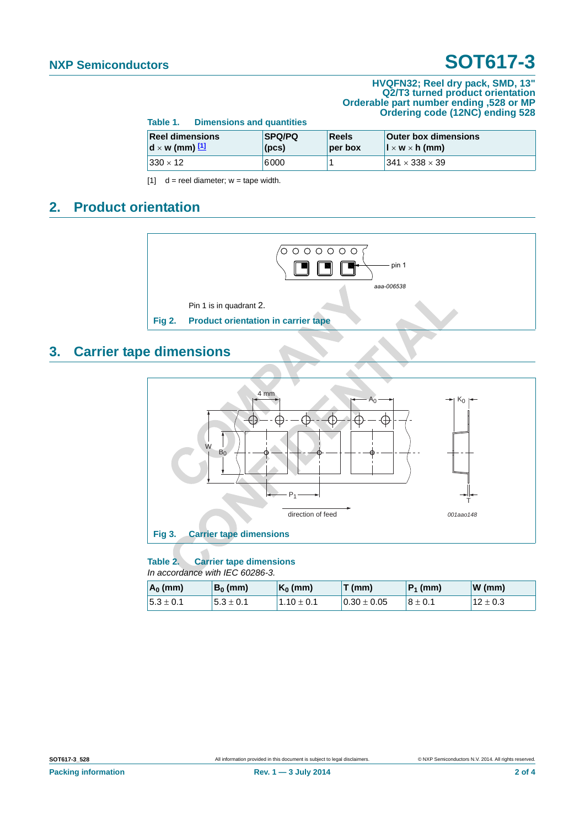## **NXP Semiconductors SOT617-3**

#### **HVQFN32; Reel dry pack, SMD, 13" Q2/T3 turned product orientation Orderable part number ending ,528 or MP Ordering code (12NC) ending 528**

|                                                                            | Table 1. Dimensions and quantities |                        |                         |                                                                                       |  |
|----------------------------------------------------------------------------|------------------------------------|------------------------|-------------------------|---------------------------------------------------------------------------------------|--|
| <b>Reel dimensions</b><br>$\mathbf{d} \times \mathbf{w}$ (mm) $\mathbf{1}$ |                                    | <b>SPQ/PQ</b><br>(pcs) | <b>Reels</b><br>per box | <b>Outer box dimensions</b><br>$\vert \vert \times \mathsf{w} \times \mathsf{h}$ (mm) |  |
| $ 330 \times 12 $                                                          |                                    | 6000                   |                         | $1341 \times 338 \times 39$                                                           |  |

<span id="page-1-0"></span> $[1]$  d = reel diameter; w = tape width.

## **2. Product orientation**



### **3. Carrier tape dimensions**



### **Table 2. Carrier tape dimensions**

*In accordance with IEC 60286-3.*

| $\mathsf{A}_0$ (mm) | $B_0$ (mm)   | $\mathsf{K}_0$ (mm) | $T$ (mm)         | $ P_1$ (mm)  | W(mm)        |
|---------------------|--------------|---------------------|------------------|--------------|--------------|
| $15.3 \pm 0.1$      | $15.3\pm0.1$ | $1.10 \pm 0.1$      | $10.30 \pm 0.05$ | $18 \pm 0.1$ | 12 $\pm$ 0.3 |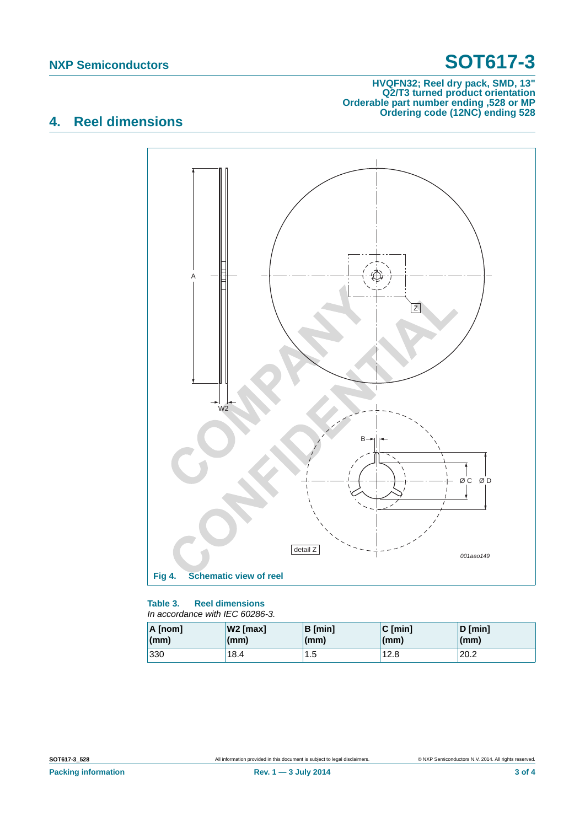## **NXP Semiconductors SOT617-3**

#### **HVQFN32; Reel dry pack, SMD, 13" Q2/T3 turned product orientation Orderable part number ending ,528 or MP Ordering code (12NC) ending 528**

## **4. Reel dimensions**



#### **Table 3. Reel dimensions** *In accordance with IEC 60286-3.*

| A [nom] | $W2$ [max] | <b>B</b> [min] | $C$ [min] | $D$ [min] |
|---------|------------|----------------|-----------|-----------|
| (mm)    | (mm)       | (mm)           | (mm)      | (mm)      |
| 330     | 18.4       | 1.5            | 12.8      | 20.2      |